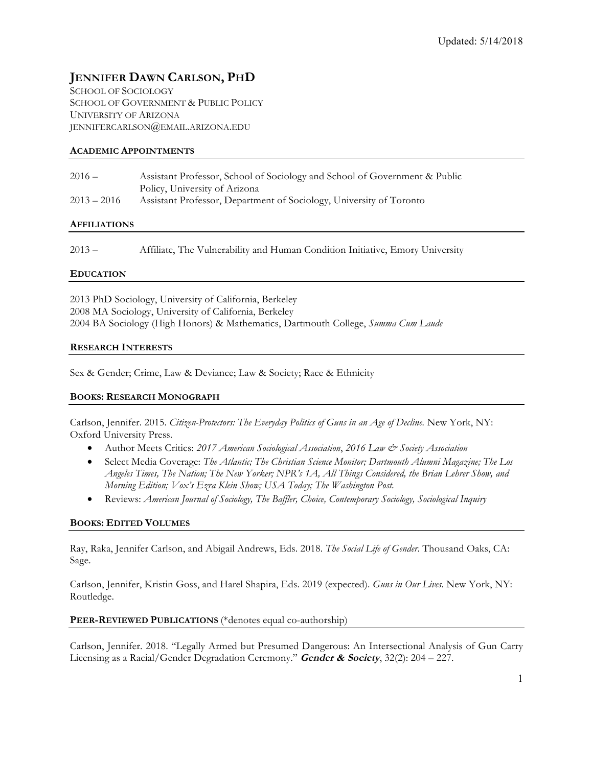# **JENNIFER DAWN CARLSON, PHD**

SCHOOL OF SOCIOLOGY SCHOOL OF GOVERNMENT & PUBLIC POLICY UNIVERSITY OF ARIZONA JENNIFERCARLSON@EMAIL.ARIZONA.EDU

## **ACADEMIC APPOINTMENTS**

| $2016 -$      | Assistant Professor, School of Sociology and School of Government & Public |
|---------------|----------------------------------------------------------------------------|
|               | Policy, University of Arizona                                              |
| $2013 - 2016$ | Assistant Professor, Department of Sociology, University of Toronto        |

#### **AFFILIATIONS**

2013 – Affiliate, The Vulnerability and Human Condition Initiative, Emory University

#### **EDUCATION**

2013 PhD Sociology, University of California, Berkeley 2008 MA Sociology, University of California, Berkeley 2004 BA Sociology (High Honors) & Mathematics, Dartmouth College, *Summa Cum Laude*

#### **RESEARCH INTERESTS**

Sex & Gender; Crime, Law & Deviance; Law & Society; Race & Ethnicity

#### **BOOKS: RESEARCH MONOGRAPH**

Carlson, Jennifer. 2015. *Citizen-Protectors: The Everyday Politics of Guns in an Age of Decline.* New York, NY: Oxford University Press.

- Author Meets Critics: *2017 American Sociological Association*, *2016 Law & Society Association*
- Select Media Coverage: *The Atlantic; The Christian Science Monitor; Dartmouth Alumni Magazine; The Los Angeles Times, The Nation; The New Yorker; NPR's 1A, All Things Considered, the Brian Lehrer Show, and Morning Edition; Vox's Ezra Klein Show; USA Today; The Washington Post.*
- Reviews: *American Journal of Sociology, The Baffler, Choice, Contemporary Sociology, Sociological Inquiry*

#### **BOOKS: EDITED VOLUMES**

Ray, Raka, Jennifer Carlson, and Abigail Andrews, Eds. 2018. *The Social Life of Gender*. Thousand Oaks, CA: Sage.

Carlson, Jennifer, Kristin Goss, and Harel Shapira, Eds. 2019 (expected). *Guns in Our Lives*. New York, NY: Routledge.

#### **PEER-REVIEWED PUBLICATIONS** (\*denotes equal co-authorship)

Carlson, Jennifer. 2018. "Legally Armed but Presumed Dangerous: An Intersectional Analysis of Gun Carry Licensing as a Racial/Gender Degradation Ceremony." **Gender & Society**, 32(2): 204 – 227.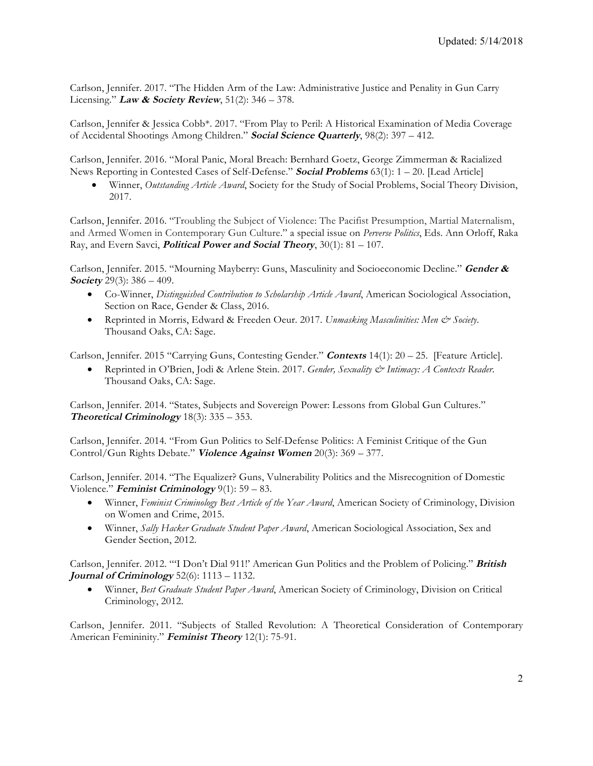Carlson, Jennifer. 2017. "The Hidden Arm of the Law: Administrative Justice and Penality in Gun Carry Licensing." **Law & Society Review**, 51(2): 346 – 378.

Carlson, Jennifer & Jessica Cobb\*. 2017. "From Play to Peril: A Historical Examination of Media Coverage of Accidental Shootings Among Children." **Social Science Quarterly**, 98(2): 397 – 412.

Carlson, Jennifer. 2016. "Moral Panic, Moral Breach: Bernhard Goetz, George Zimmerman & Racialized News Reporting in Contested Cases of Self-Defense." **Social Problems** 63(1): 1 – 20. [Lead Article]

• Winner, *Outstanding Article Award*, Society for the Study of Social Problems, Social Theory Division, 2017.

Carlson, Jennifer. 2016. "Troubling the Subject of Violence: The Pacifist Presumption, Martial Maternalism, and Armed Women in Contemporary Gun Culture." a special issue on *Perverse Politics*, Eds. Ann Orloff, Raka Ray, and Evern Savci, **Political Power and Social Theory**, 30(1): 81 – 107.

Carlson, Jennifer. 2015. "Mourning Mayberry: Guns, Masculinity and Socioeconomic Decline." **Gender & Society** 29(3): 386 – 409.

- Co-Winner, *Distinguished Contribution to Scholarship Article Award*, American Sociological Association, Section on Race, Gender & Class, 2016.
- Reprinted in Morris, Edward & Freeden Oeur. 2017. *Unmasking Masculinities: Men & Society*. Thousand Oaks, CA: Sage.

Carlson, Jennifer. 2015 "Carrying Guns, Contesting Gender." **Contexts** 14(1): 20 – 25. [Feature Article].

• Reprinted in O'Brien, Jodi & Arlene Stein. 2017. *Gender, Sexuality & Intimacy: A Contexts Reader*. Thousand Oaks, CA: Sage.

Carlson, Jennifer. 2014. "States, Subjects and Sovereign Power: Lessons from Global Gun Cultures." **Theoretical Criminology** 18(3): 335 – 353.

Carlson, Jennifer. 2014*.* "From Gun Politics to Self-Defense Politics: A Feminist Critique of the Gun Control/Gun Rights Debate." **Violence Against Women** 20(3): 369 – 377.

Carlson, Jennifer. 2014. "The Equalizer? Guns, Vulnerability Politics and the Misrecognition of Domestic Violence." **Feminist Criminology** 9(1): 59 – 83.

- Winner, *Feminist Criminology Best Article of the Year Award*, American Society of Criminology, Division on Women and Crime, 2015.
- Winner, *Sally Hacker Graduate Student Paper Award*, American Sociological Association, Sex and Gender Section, 2012.

Carlson, Jennifer. 2012. "'I Don't Dial 911!' American Gun Politics and the Problem of Policing." **British Journal of Criminology** 52(6): 1113 – 1132.

• Winner, *Best Graduate Student Paper Award*, American Society of Criminology, Division on Critical Criminology, 2012.

Carlson, Jennifer. 2011. "Subjects of Stalled Revolution: A Theoretical Consideration of Contemporary American Femininity." **Feminist Theory** 12(1): 75-91.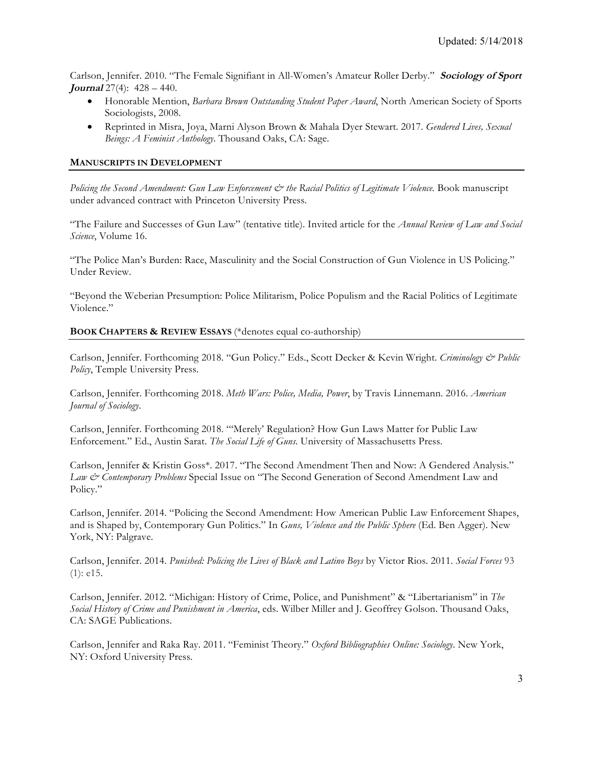Carlson, Jennifer. 2010. "The Female Signifiant in All-Women's Amateur Roller Derby." **Sociology of Sport**  *Journal* 27(4): 428 – 440.

- Honorable Mention, *Barbara Brown Outstanding Student Paper Award*, North American Society of Sports Sociologists, 2008.
- Reprinted in Misra, Joya, Marni Alyson Brown & Mahala Dyer Stewart. 2017. *Gendered Lives, Sexual Beings: A Feminist Anthology*. Thousand Oaks, CA: Sage.

## **MANUSCRIPTS IN DEVELOPMENT**

*Policing the Second Amendment: Gun Law Enforcement*  $\breve{c}$  *the Racial Politics of Legitimate Violence.* Book manuscript under advanced contract with Princeton University Press.

"The Failure and Successes of Gun Law" (tentative title). Invited article for the *Annual Review of Law and Social Science*, Volume 16.

"The Police Man's Burden: Race, Masculinity and the Social Construction of Gun Violence in US Policing." Under Review.

"Beyond the Weberian Presumption: Police Militarism, Police Populism and the Racial Politics of Legitimate Violence."

#### **BOOK CHAPTERS & REVIEW ESSAYS** (\*denotes equal co-authorship)

Carlson, Jennifer. Forthcoming 2018. "Gun Policy." Eds., Scott Decker & Kevin Wright. *Criminology & Public Policy*, Temple University Press.

Carlson, Jennifer. Forthcoming 2018. *Meth Wars: Police, Media, Power*, by Travis Linnemann. 2016. *American Journal of Sociology*.

Carlson, Jennifer. Forthcoming 2018. "'Merely' Regulation? How Gun Laws Matter for Public Law Enforcement." Ed., Austin Sarat. *The Social Life of Guns*. University of Massachusetts Press.

Carlson, Jennifer & Kristin Goss\*. 2017. "The Second Amendment Then and Now: A Gendered Analysis." *Law & Contemporary Problems* Special Issue on "The Second Generation of Second Amendment Law and Policy."

Carlson, Jennifer. 2014. "Policing the Second Amendment: How American Public Law Enforcement Shapes, and is Shaped by, Contemporary Gun Politics." In *Guns, Violence and the Public Sphere* (Ed. Ben Agger). New York, NY: Palgrave.

Carlson, Jennifer. 2014. *Punished: Policing the Lives of Black and Latino Boys* by Victor Rios. 2011. *Social Forces* 93 (1): e15.

Carlson, Jennifer. 2012. "Michigan: History of Crime, Police, and Punishment" & "Libertarianism" in *The Social History of Crime and Punishment in America*, eds. Wilber Miller and J. Geoffrey Golson. Thousand Oaks, CA: SAGE Publications.

Carlson, Jennifer and Raka Ray. 2011. "Feminist Theory." *Oxford Bibliographies Online: Sociology*. New York, NY: Oxford University Press.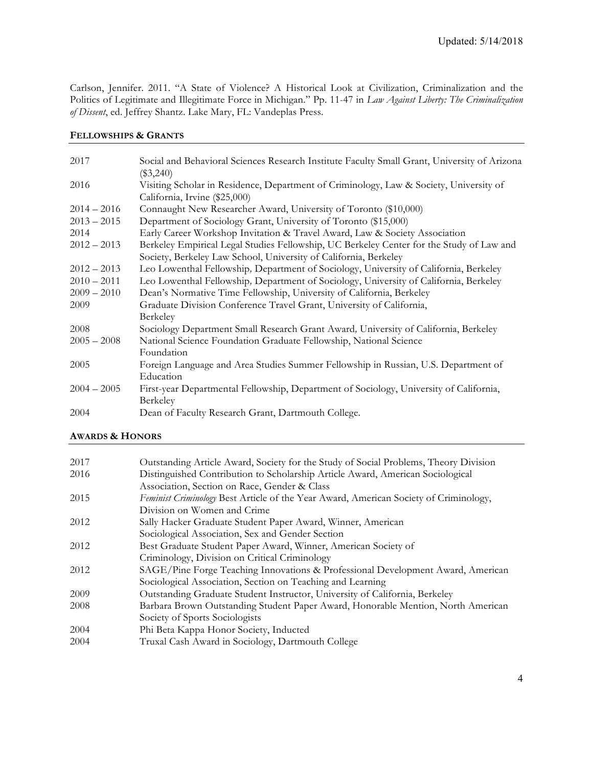Carlson, Jennifer. 2011. "A State of Violence? A Historical Look at Civilization, Criminalization and the Politics of Legitimate and Illegitimate Force in Michigan." Pp. 11-47 in *Law Against Liberty: The Criminalization of Dissent*, ed. Jeffrey Shantz. Lake Mary, FL: Vandeplas Press.

## **FELLOWSHIPS & GRANTS**

| 2017          | Social and Behavioral Sciences Research Institute Faculty Small Grant, University of Arizona<br>$(\$3,240)$                                                  |
|---------------|--------------------------------------------------------------------------------------------------------------------------------------------------------------|
| 2016          | Visiting Scholar in Residence, Department of Criminology, Law & Society, University of<br>California, Irvine (\$25,000)                                      |
| $2014 - 2016$ | Connaught New Researcher Award, University of Toronto (\$10,000)                                                                                             |
| $2013 - 2015$ | Department of Sociology Grant, University of Toronto (\$15,000)                                                                                              |
| 2014          | Early Career Workshop Invitation & Travel Award, Law & Society Association                                                                                   |
| $2012 - 2013$ | Berkeley Empirical Legal Studies Fellowship, UC Berkeley Center for the Study of Law and<br>Society, Berkeley Law School, University of California, Berkeley |
| $2012 - 2013$ | Leo Lowenthal Fellowship, Department of Sociology, University of California, Berkeley                                                                        |
| $2010 - 2011$ | Leo Lowenthal Fellowship, Department of Sociology, University of California, Berkeley                                                                        |
| $2009 - 2010$ | Dean's Normative Time Fellowship, University of California, Berkeley                                                                                         |
| 2009          | Graduate Division Conference Travel Grant, University of California,<br>Berkeley                                                                             |
| 2008          | Sociology Department Small Research Grant Award, University of California, Berkeley                                                                          |
| $2005 - 2008$ | National Science Foundation Graduate Fellowship, National Science<br>Foundation                                                                              |
| 2005          | Foreign Language and Area Studies Summer Fellowship in Russian, U.S. Department of<br>Education                                                              |
| $2004 - 2005$ | First-year Departmental Fellowship, Department of Sociology, University of California,<br>Berkeley                                                           |
| 2004          | Dean of Faculty Research Grant, Dartmouth College.                                                                                                           |

## **AWARDS & HONORS**

| 2017 | Outstanding Article Award, Society for the Study of Social Problems, Theory Division  |
|------|---------------------------------------------------------------------------------------|
| 2016 | Distinguished Contribution to Scholarship Article Award, American Sociological        |
|      | Association, Section on Race, Gender & Class                                          |
| 2015 | Feminist Criminology Best Article of the Year Award, American Society of Criminology, |
|      | Division on Women and Crime                                                           |
| 2012 | Sally Hacker Graduate Student Paper Award, Winner, American                           |
|      | Sociological Association, Sex and Gender Section                                      |
| 2012 | Best Graduate Student Paper Award, Winner, American Society of                        |
|      | Criminology, Division on Critical Criminology                                         |
| 2012 | SAGE/Pine Forge Teaching Innovations & Professional Development Award, American       |
|      | Sociological Association, Section on Teaching and Learning                            |
| 2009 | Outstanding Graduate Student Instructor, University of California, Berkeley           |
| 2008 | Barbara Brown Outstanding Student Paper Award, Honorable Mention, North American      |
|      | Society of Sports Sociologists                                                        |
| 2004 | Phi Beta Kappa Honor Society, Inducted                                                |
| 2004 | Truxal Cash Award in Sociology, Dartmouth College                                     |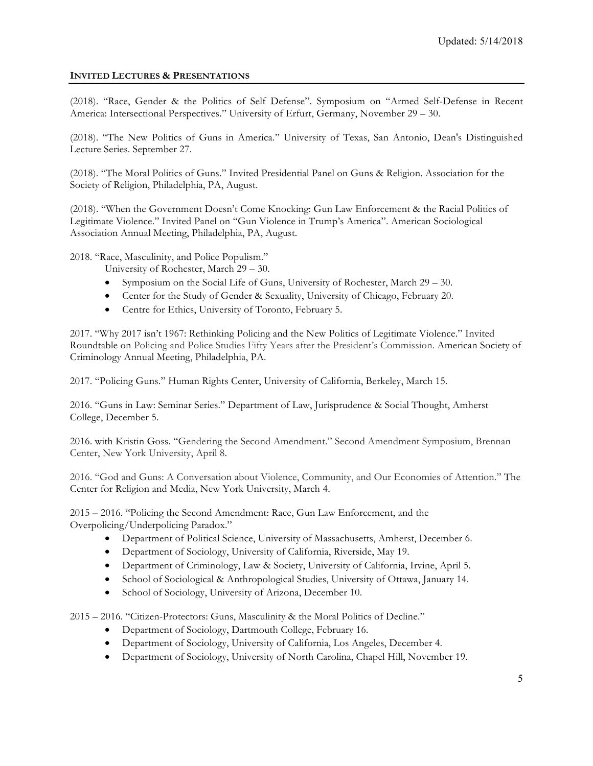## **INVITED LECTURES & PRESENTATIONS**

(2018). "Race, Gender & the Politics of Self Defense". Symposium on "Armed Self-Defense in Recent America: Intersectional Perspectives." University of Erfurt, Germany, November 29 – 30.

(2018). "The New Politics of Guns in America." University of Texas, San Antonio, Dean's Distinguished Lecture Series. September 27.

(2018). "The Moral Politics of Guns." Invited Presidential Panel on Guns & Religion. Association for the Society of Religion, Philadelphia, PA, August.

(2018). "When the Government Doesn't Come Knocking: Gun Law Enforcement & the Racial Politics of Legitimate Violence." Invited Panel on "Gun Violence in Trump's America". American Sociological Association Annual Meeting, Philadelphia, PA, August.

2018. "Race, Masculinity, and Police Populism."

- University of Rochester, March 29 30.
- Symposium on the Social Life of Guns, University of Rochester, March 29 30.
- Center for the Study of Gender & Sexuality, University of Chicago, February 20.
- Centre for Ethics, University of Toronto, February 5.

2017. "Why 2017 isn't 1967: Rethinking Policing and the New Politics of Legitimate Violence." Invited Roundtable on Policing and Police Studies Fifty Years after the President's Commission. American Society of Criminology Annual Meeting, Philadelphia, PA.

2017. "Policing Guns." Human Rights Center, University of California, Berkeley, March 15.

2016. "Guns in Law: Seminar Series." Department of Law, Jurisprudence & Social Thought, Amherst College, December 5.

2016. with Kristin Goss. "Gendering the Second Amendment." Second Amendment Symposium, Brennan Center, New York University, April 8.

2016. "God and Guns: A Conversation about Violence, Community, and Our Economies of Attention." The Center for Religion and Media, New York University, March 4.

2015 – 2016. "Policing the Second Amendment: Race, Gun Law Enforcement, and the Overpolicing/Underpolicing Paradox."

- Department of Political Science, University of Massachusetts, Amherst, December 6.
- Department of Sociology, University of California, Riverside, May 19.
- Department of Criminology, Law & Society, University of California, Irvine, April 5.
- School of Sociological & Anthropological Studies, University of Ottawa, January 14.
- School of Sociology, University of Arizona, December 10.

2015 – 2016. "Citizen-Protectors: Guns, Masculinity & the Moral Politics of Decline."

- Department of Sociology, Dartmouth College, February 16.
- Department of Sociology, University of California, Los Angeles, December 4.
- Department of Sociology, University of North Carolina, Chapel Hill, November 19.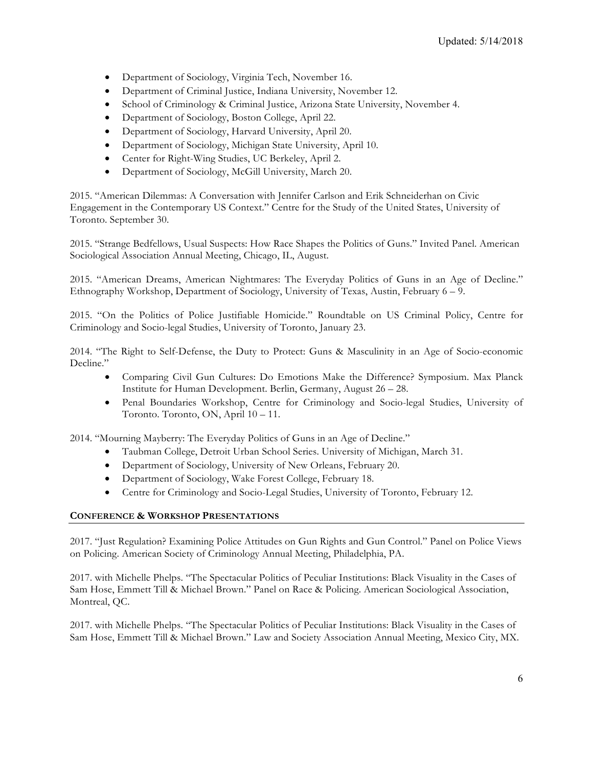- Department of Sociology, Virginia Tech, November 16.
- Department of Criminal Justice, Indiana University, November 12.
- School of Criminology & Criminal Justice, Arizona State University, November 4.
- Department of Sociology, Boston College, April 22.
- Department of Sociology, Harvard University, April 20.
- Department of Sociology, Michigan State University, April 10.
- Center for Right-Wing Studies, UC Berkeley, April 2.
- Department of Sociology, McGill University, March 20.

2015. "American Dilemmas: A Conversation with Jennifer Carlson and Erik Schneiderhan on Civic Engagement in the Contemporary US Context." Centre for the Study of the United States, University of Toronto. September 30.

2015. "Strange Bedfellows, Usual Suspects: How Race Shapes the Politics of Guns." Invited Panel. American Sociological Association Annual Meeting, Chicago, IL, August.

2015. "American Dreams, American Nightmares: The Everyday Politics of Guns in an Age of Decline." Ethnography Workshop, Department of Sociology, University of Texas, Austin, February 6 – 9.

2015. "On the Politics of Police Justifiable Homicide." Roundtable on US Criminal Policy, Centre for Criminology and Socio-legal Studies, University of Toronto, January 23.

2014. "The Right to Self-Defense, the Duty to Protect: Guns & Masculinity in an Age of Socio-economic Decline."

- Comparing Civil Gun Cultures: Do Emotions Make the Difference? Symposium. Max Planck Institute for Human Development. Berlin, Germany, August 26 – 28.
- Penal Boundaries Workshop, Centre for Criminology and Socio-legal Studies, University of Toronto. Toronto, ON, April 10 – 11.

2014. "Mourning Mayberry: The Everyday Politics of Guns in an Age of Decline."

- Taubman College, Detroit Urban School Series. University of Michigan, March 31.
- Department of Sociology, University of New Orleans, February 20.
- Department of Sociology, Wake Forest College, February 18.
- Centre for Criminology and Socio-Legal Studies, University of Toronto, February 12.

#### **CONFERENCE & WORKSHOP PRESENTATIONS**

2017. "Just Regulation? Examining Police Attitudes on Gun Rights and Gun Control." Panel on Police Views on Policing. American Society of Criminology Annual Meeting, Philadelphia, PA.

2017. with Michelle Phelps. "The Spectacular Politics of Peculiar Institutions: Black Visuality in the Cases of Sam Hose, Emmett Till & Michael Brown." Panel on Race & Policing. American Sociological Association, Montreal, QC.

2017. with Michelle Phelps. "The Spectacular Politics of Peculiar Institutions: Black Visuality in the Cases of Sam Hose, Emmett Till & Michael Brown." Law and Society Association Annual Meeting, Mexico City, MX.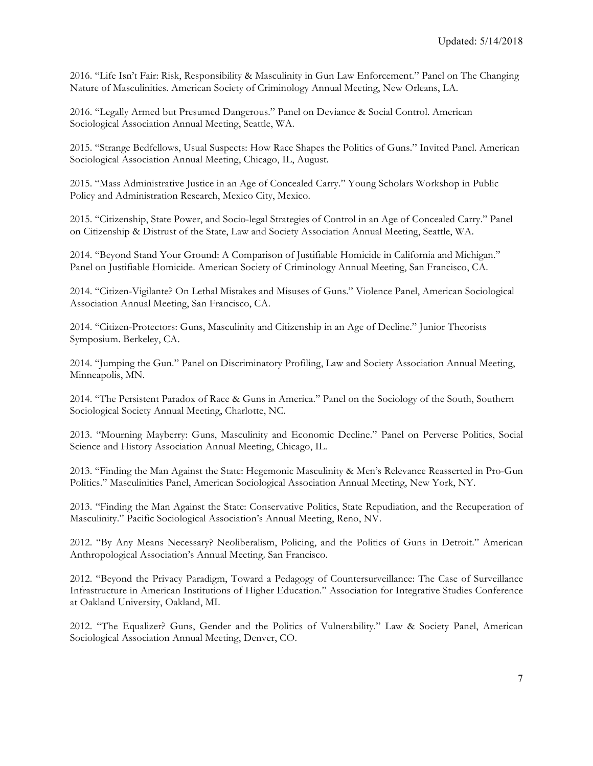2016. "Life Isn't Fair: Risk, Responsibility & Masculinity in Gun Law Enforcement." Panel on The Changing Nature of Masculinities. American Society of Criminology Annual Meeting, New Orleans, LA.

2016. "Legally Armed but Presumed Dangerous." Panel on Deviance & Social Control. American Sociological Association Annual Meeting, Seattle, WA.

2015. "Strange Bedfellows, Usual Suspects: How Race Shapes the Politics of Guns." Invited Panel. American Sociological Association Annual Meeting, Chicago, IL, August.

2015. "Mass Administrative Justice in an Age of Concealed Carry." Young Scholars Workshop in Public Policy and Administration Research, Mexico City, Mexico.

2015. "Citizenship, State Power, and Socio-legal Strategies of Control in an Age of Concealed Carry." Panel on Citizenship & Distrust of the State, Law and Society Association Annual Meeting, Seattle, WA.

2014. "Beyond Stand Your Ground: A Comparison of Justifiable Homicide in California and Michigan." Panel on Justifiable Homicide. American Society of Criminology Annual Meeting, San Francisco, CA.

2014. "Citizen-Vigilante? On Lethal Mistakes and Misuses of Guns." Violence Panel, American Sociological Association Annual Meeting, San Francisco, CA.

2014. "Citizen-Protectors: Guns, Masculinity and Citizenship in an Age of Decline." Junior Theorists Symposium. Berkeley, CA.

2014. "Jumping the Gun." Panel on Discriminatory Profiling, Law and Society Association Annual Meeting, Minneapolis, MN.

2014. "The Persistent Paradox of Race & Guns in America." Panel on the Sociology of the South, Southern Sociological Society Annual Meeting, Charlotte, NC.

2013. "Mourning Mayberry: Guns, Masculinity and Economic Decline." Panel on Perverse Politics, Social Science and History Association Annual Meeting, Chicago, IL.

2013. "Finding the Man Against the State: Hegemonic Masculinity & Men's Relevance Reasserted in Pro-Gun Politics." Masculinities Panel, American Sociological Association Annual Meeting, New York, NY.

2013. "Finding the Man Against the State: Conservative Politics, State Repudiation, and the Recuperation of Masculinity." Pacific Sociological Association's Annual Meeting, Reno, NV.

2012. "By Any Means Necessary? Neoliberalism, Policing, and the Politics of Guns in Detroit." American Anthropological Association's Annual Meeting*,* San Francisco.

2012. "Beyond the Privacy Paradigm, Toward a Pedagogy of Countersurveillance: The Case of Surveillance Infrastructure in American Institutions of Higher Education." Association for Integrative Studies Conference at Oakland University, Oakland, MI.

2012. "The Equalizer? Guns, Gender and the Politics of Vulnerability." Law & Society Panel, American Sociological Association Annual Meeting, Denver, CO.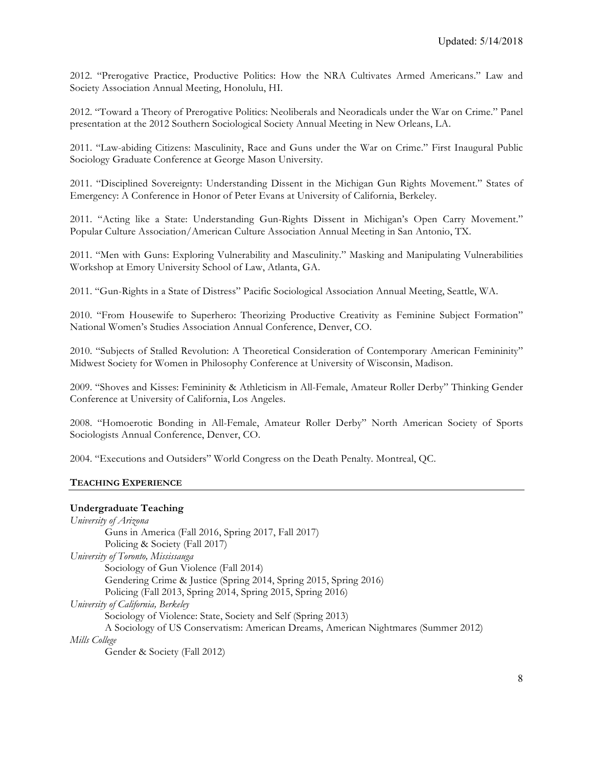2012. "Prerogative Practice, Productive Politics: How the NRA Cultivates Armed Americans." Law and Society Association Annual Meeting, Honolulu, HI.

2012. "Toward a Theory of Prerogative Politics: Neoliberals and Neoradicals under the War on Crime." Panel presentation at the 2012 Southern Sociological Society Annual Meeting in New Orleans, LA.

2011. "Law-abiding Citizens: Masculinity, Race and Guns under the War on Crime." First Inaugural Public Sociology Graduate Conference at George Mason University.

2011. "Disciplined Sovereignty: Understanding Dissent in the Michigan Gun Rights Movement." States of Emergency: A Conference in Honor of Peter Evans at University of California, Berkeley.

2011. "Acting like a State: Understanding Gun-Rights Dissent in Michigan's Open Carry Movement." Popular Culture Association/American Culture Association Annual Meeting in San Antonio, TX.

2011. "Men with Guns: Exploring Vulnerability and Masculinity." Masking and Manipulating Vulnerabilities Workshop at Emory University School of Law, Atlanta, GA.

2011. "Gun-Rights in a State of Distress" Pacific Sociological Association Annual Meeting, Seattle, WA.

2010. "From Housewife to Superhero: Theorizing Productive Creativity as Feminine Subject Formation" National Women's Studies Association Annual Conference, Denver, CO.

2010. "Subjects of Stalled Revolution: A Theoretical Consideration of Contemporary American Femininity" Midwest Society for Women in Philosophy Conference at University of Wisconsin, Madison.

2009. "Shoves and Kisses: Femininity & Athleticism in All-Female, Amateur Roller Derby" Thinking Gender Conference at University of California, Los Angeles.

2008. "Homoerotic Bonding in All-Female, Amateur Roller Derby" North American Society of Sports Sociologists Annual Conference, Denver, CO.

2004. "Executions and Outsiders" World Congress on the Death Penalty*.* Montreal, QC.

#### **TEACHING EXPERIENCE**

#### **Undergraduate Teaching**

| University of Arizona                                                              |
|------------------------------------------------------------------------------------|
| Guns in America (Fall 2016, Spring 2017, Fall 2017)                                |
| Policing & Society (Fall 2017)                                                     |
| University of Toronto, Mississauga                                                 |
| Sociology of Gun Violence (Fall 2014)                                              |
| Gendering Crime & Justice (Spring 2014, Spring 2015, Spring 2016)                  |
| Policing (Fall 2013, Spring 2014, Spring 2015, Spring 2016)                        |
| University of California, Berkeley                                                 |
| Sociology of Violence: State, Society and Self (Spring 2013)                       |
| A Sociology of US Conservatism: American Dreams, American Nightmares (Summer 2012) |
| Mills College                                                                      |
| Gender & Society (Fall 2012)                                                       |
|                                                                                    |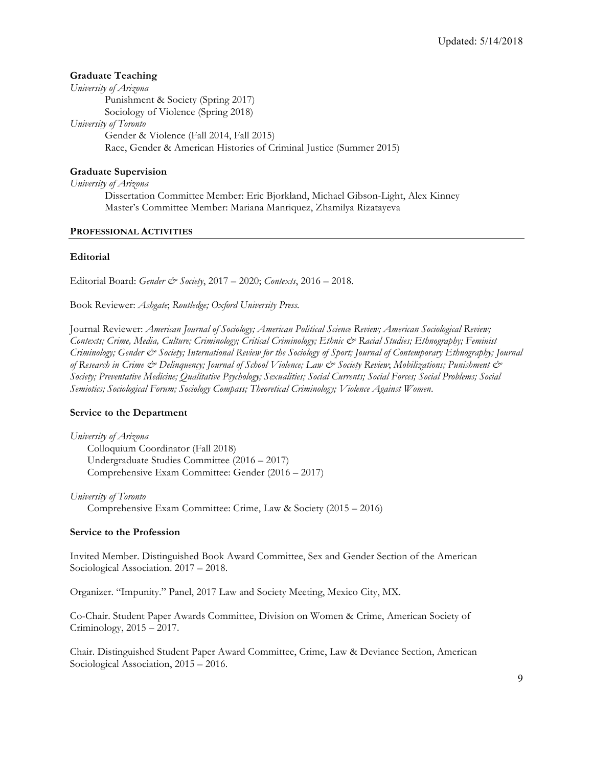## **Graduate Teaching**

*University of Arizona* Punishment & Society (Spring 2017) Sociology of Violence (Spring 2018) *University of Toronto* Gender & Violence (Fall 2014, Fall 2015) Race, Gender & American Histories of Criminal Justice (Summer 2015)

## **Graduate Supervision**

*University of Arizona*

Dissertation Committee Member: Eric Bjorkland, Michael Gibson-Light, Alex Kinney Master's Committee Member: Mariana Manriquez, Zhamilya Rizatayeva

#### **PROFESSIONAL ACTIVITIES**

#### **Editorial**

Editorial Board: *Gender & Society*, 2017 – 2020; *Contexts*, 2016 – 2018.

Book Reviewer: *Ashgate*; *Routledge; Oxford University Press.* 

Journal Reviewer: *American Journal of Sociology; American Political Science Review; American Sociological Review; Contexts; Crime, Media, Culture; Criminology; Critical Criminology; Ethnic & Racial Studies; Ethnography; Feminist Criminology; Gender & Society; International Review for the Sociology of Sport; Journal of Contemporary Ethnography; Journal of Research in Crime & Delinquency; Journal of School Violence; Law & Society Review*; *Mobilizations; Punishment & Society; Preventative Medicine; Qualitative Psychology; Sexualities; Social Currents; Social Forces; Social Problems; Social Semiotics; Sociological Forum; Sociology Compass; Theoretical Criminology; Violence Against Women*.

#### **Service to the Department**

*University of Arizona* Colloquium Coordinator (Fall 2018) Undergraduate Studies Committee (2016 – 2017) Comprehensive Exam Committee: Gender (2016 – 2017)

*University of Toronto* Comprehensive Exam Committee: Crime, Law & Society (2015 – 2016)

#### **Service to the Profession**

Invited Member. Distinguished Book Award Committee, Sex and Gender Section of the American Sociological Association. 2017 – 2018.

Organizer. "Impunity." Panel, 2017 Law and Society Meeting, Mexico City, MX.

Co-Chair. Student Paper Awards Committee, Division on Women & Crime, American Society of Criminology, 2015 – 2017.

Chair. Distinguished Student Paper Award Committee, Crime, Law & Deviance Section, American Sociological Association, 2015 – 2016.